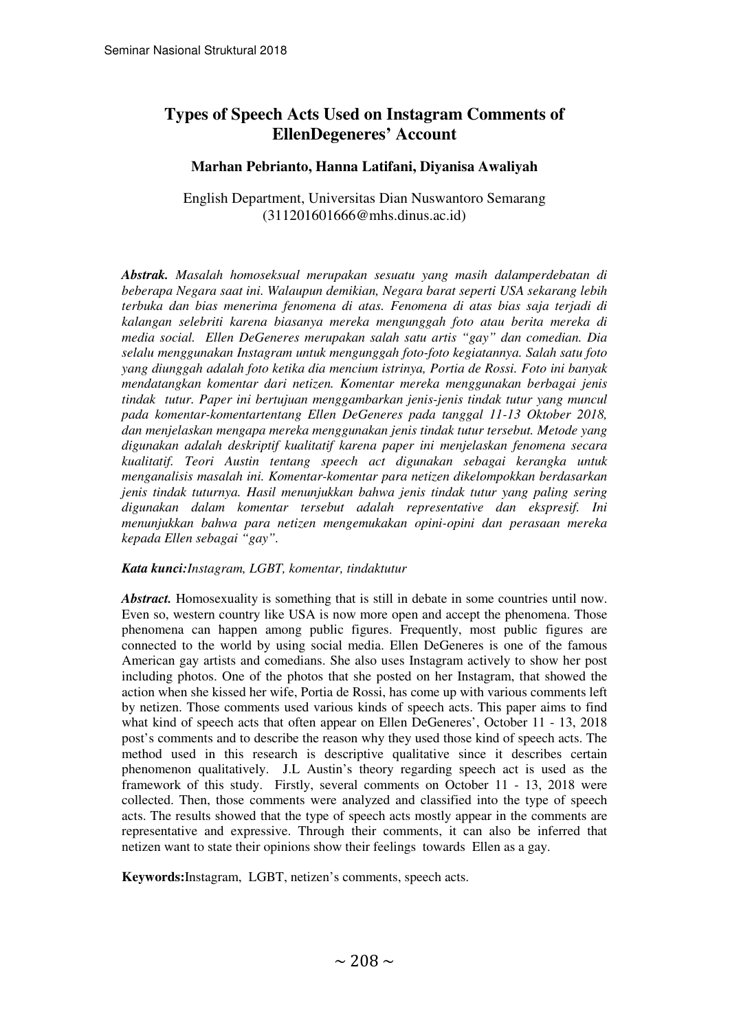# **Types of Speech Acts Used on Instagram Comments of EllenDegeneres' Account**

## **Marhan Pebrianto, Hanna Latifani, Diyanisa Awaliyah**

English Department, Universitas Dian Nuswantoro Semarang (311201601666@mhs.dinus.ac.id)

*Abstrak. Masalah homoseksual merupakan sesuatu yang masih dalamperdebatan di beberapa Negara saat ini. Walaupun demikian, Negara barat seperti USA sekarang lebih terbuka dan bias menerima fenomena di atas. Fenomena di atas bias saja terjadi di kalangan selebriti karena biasanya mereka mengunggah foto atau berita mereka di media social. Ellen DeGeneres merupakan salah satu artis "gay" dan comedian. Dia selalu menggunakan Instagram untuk mengunggah foto-foto kegiatannya. Salah satu foto yang diunggah adalah foto ketika dia mencium istrinya, Portia de Rossi. Foto ini banyak mendatangkan komentar dari netizen. Komentar mereka menggunakan berbagai jenis tindak tutur. Paper ini bertujuan menggambarkan jenis-jenis tindak tutur yang muncul pada komentar-komentartentang Ellen DeGeneres pada tanggal 11-13 Oktober 2018, dan menjelaskan mengapa mereka menggunakan jenis tindak tutur tersebut. Metode yang digunakan adalah deskriptif kualitatif karena paper ini menjelaskan fenomena secara kualitatif. Teori Austin tentang speech act digunakan sebagai kerangka untuk menganalisis masalah ini. Komentar-komentar para netizen dikelompokkan berdasarkan jenis tindak tuturnya. Hasil menunjukkan bahwa jenis tindak tutur yang paling sering digunakan dalam komentar tersebut adalah representative dan ekspresif. Ini menunjukkan bahwa para netizen mengemukakan opini-opini dan perasaan mereka kepada Ellen sebagai "gay".* 

#### *Kata kunci:Instagram, LGBT, komentar, tindaktutur*

*Abstract.* Homosexuality is something that is still in debate in some countries until now. Even so, western country like USA is now more open and accept the phenomena. Those phenomena can happen among public figures. Frequently, most public figures are connected to the world by using social media. Ellen DeGeneres is one of the famous American gay artists and comedians. She also uses Instagram actively to show her post including photos. One of the photos that she posted on her Instagram, that showed the action when she kissed her wife, Portia de Rossi, has come up with various comments left by netizen. Those comments used various kinds of speech acts. This paper aims to find what kind of speech acts that often appear on Ellen DeGeneres', October 11 - 13, 2018 post's comments and to describe the reason why they used those kind of speech acts. The method used in this research is descriptive qualitative since it describes certain phenomenon qualitatively. J.L Austin's theory regarding speech act is used as the framework of this study. Firstly, several comments on October 11 - 13, 2018 were collected. Then, those comments were analyzed and classified into the type of speech acts. The results showed that the type of speech acts mostly appear in the comments are representative and expressive. Through their comments, it can also be inferred that netizen want to state their opinions show their feelings towards Ellen as a gay.

**Keywords:**Instagram, LGBT, netizen's comments, speech acts.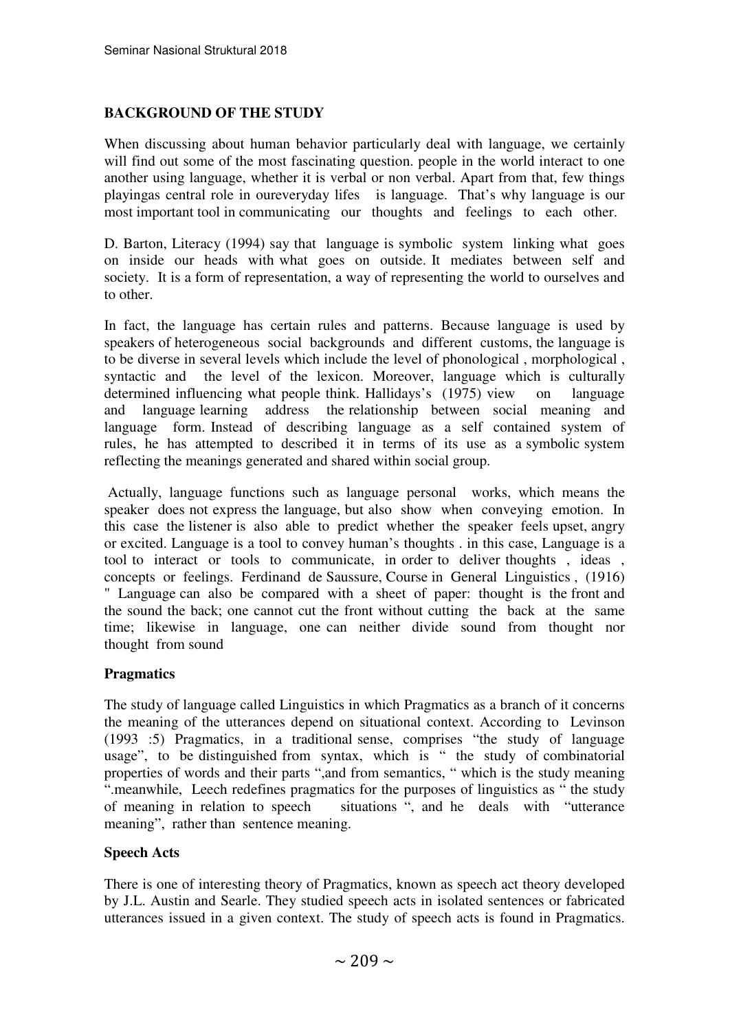# **BACKGROUND OF THE STUDY**

When discussing about human behavior particularly deal with language, we certainly will find out some of the most fascinating question, people in the world interact to one another using language, whether it is verbal or non verbal. Apart from that, few things playingas central role in oureveryday lifes is language. That's why language is our most important tool in communicating our thoughts and feelings to each other.

D. Barton, Literacy (1994) say that language is symbolic system linking what goes on inside our heads with what goes on outside. It mediates between self and society. It is a form of representation, a way of representing the world to ourselves and to other.

In fact, the language has certain rules and patterns. Because language is used by speakers of heterogeneous social backgrounds and different customs, the language is to be diverse in several levels which include the level of phonological , morphological , syntactic and the level of the lexicon. Moreover, language which is culturally determined influencing what people think. Hallidays's (1975) view on language and language learning address the relationship between social meaning and language form. Instead of describing language as a self contained system of rules, he has attempted to described it in terms of its use as a symbolic system reflecting the meanings generated and shared within social group.

 Actually, language functions such as language personal works, which means the speaker does not express the language, but also show when conveying emotion. In this case the listener is also able to predict whether the speaker feels upset, angry or excited. Language is a tool to convey human's thoughts . in this case, Language is a tool to interact or tools to communicate, in order to deliver thoughts , ideas , concepts or feelings. Ferdinand de Saussure, Course in General Linguistics , (1916) " Language can also be compared with a sheet of paper: thought is the front and the sound the back; one cannot cut the front without cutting the back at the same time; likewise in language, one can neither divide sound from thought nor thought from sound

# **Pragmatics**

The study of language called Linguistics in which Pragmatics as a branch of it concerns the meaning of the utterances depend on situational context. According to Levinson (1993 :5) Pragmatics, in a traditional sense, comprises "the study of language usage", to be distinguished from syntax, which is " the study of combinatorial properties of words and their parts ",and from semantics, " which is the study meaning ".meanwhile, Leech redefines pragmatics for the purposes of linguistics as " the study of meaning in relation to speech situations ", and he deals with "utterance meaning", rather than sentence meaning.

# **Speech Acts**

There is one of interesting theory of Pragmatics, known as speech act theory developed by J.L. Austin and Searle. They studied speech acts in isolated sentences or fabricated utterances issued in a given context. The study of speech acts is found in Pragmatics.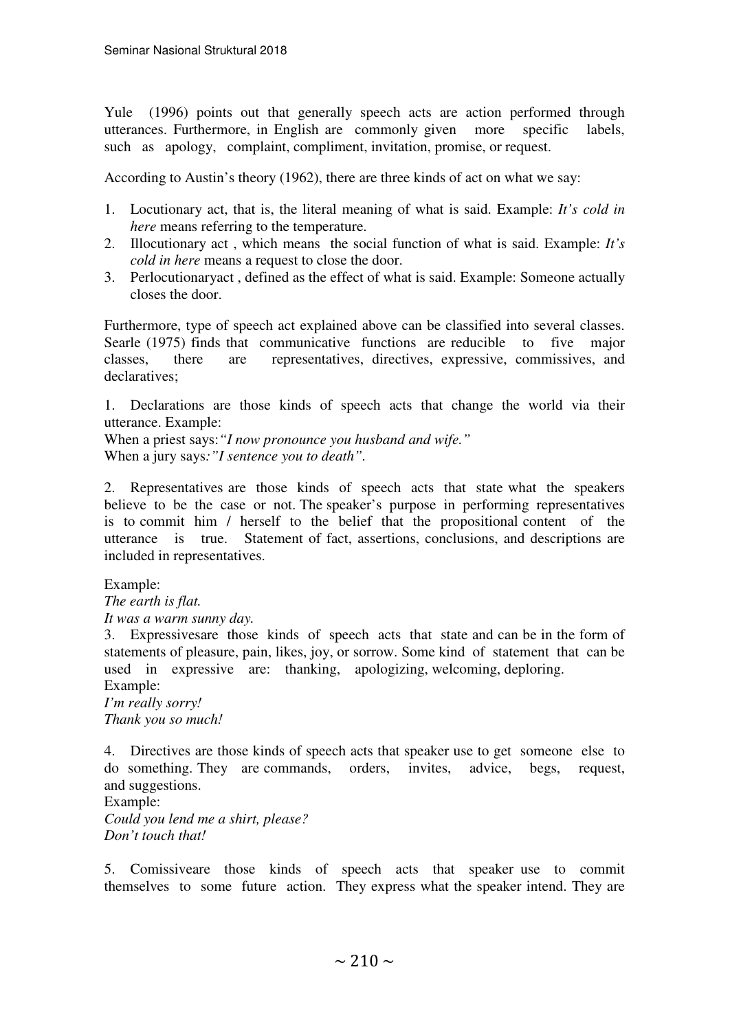Yule (1996) points out that generally speech acts are action performed through utterances. Furthermore, in English are commonly given more specific labels, such as apology, complaint, compliment, invitation, promise, or request.

According to Austin's theory (1962), there are three kinds of act on what we say:

- 1. Locutionary act, that is, the literal meaning of what is said. Example: *It's cold in here* means referring to the temperature.
- 2. Illocutionary act , which means the social function of what is said. Example: *It's cold in here* means a request to close the door.
- 3. Perlocutionaryact , defined as the effect of what is said. Example: Someone actually closes the door.

Furthermore, type of speech act explained above can be classified into several classes. Searle (1975) finds that communicative functions are reducible to five major classes, there are representatives, directives, expressive, commissives, and declaratives;

1. Declarations are those kinds of speech acts that change the world via their utterance. Example:

When a priest says:*"I now pronounce you husband and wife."*  When a jury says*:"I sentence you to death".* 

2. Representatives are those kinds of speech acts that state what the speakers believe to be the case or not. The speaker's purpose in performing representatives is to commit him / herself to the belief that the propositional content of the utterance is true. Statement of fact, assertions, conclusions, and descriptions are included in representatives.

Example:

*The earth is flat.* 

*It was a warm sunny day.*

3. Expressivesare those kinds of speech acts that state and can be in the form of statements of pleasure, pain, likes, joy, or sorrow. Some kind of statement that can be used in expressive are: thanking, apologizing, welcoming, deploring.

Example: *I'm really sorry! Thank you so much!* 

4. Directives are those kinds of speech acts that speaker use to get someone else to do something. They are commands, orders, invites, advice, begs, request, and suggestions.

Example: *Could you lend me a shirt, please? Don't touch that!* 

5. Comissiveare those kinds of speech acts that speaker use to commit themselves to some future action. They express what the speaker intend. They are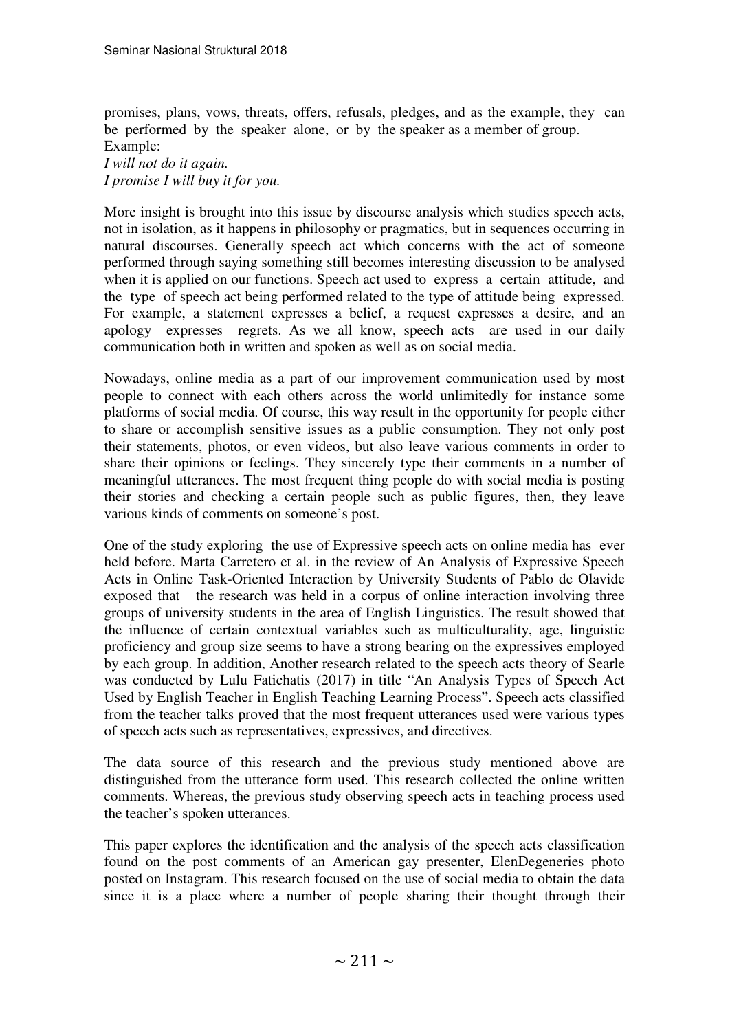promises, plans, vows, threats, offers, refusals, pledges, and as the example, they can be performed by the speaker alone, or by the speaker as a member of group. Example:

*I will not do it again. I promise I will buy it for you.* 

More insight is brought into this issue by discourse analysis which studies speech acts, not in isolation, as it happens in philosophy or pragmatics, but in sequences occurring in natural discourses. Generally speech act which concerns with the act of someone performed through saying something still becomes interesting discussion to be analysed when it is applied on our functions. Speech act used to express a certain attitude, and the type of speech act being performed related to the type of attitude being expressed. For example, a statement expresses a belief, a request expresses a desire, and an apology expresses regrets. As we all know, speech acts are used in our daily communication both in written and spoken as well as on social media.

Nowadays, online media as a part of our improvement communication used by most people to connect with each others across the world unlimitedly for instance some platforms of social media. Of course, this way result in the opportunity for people either to share or accomplish sensitive issues as a public consumption. They not only post their statements, photos, or even videos, but also leave various comments in order to share their opinions or feelings. They sincerely type their comments in a number of meaningful utterances. The most frequent thing people do with social media is posting their stories and checking a certain people such as public figures, then, they leave various kinds of comments on someone's post.

One of the study exploring the use of Expressive speech acts on online media has ever held before. Marta Carretero et al. in the review of An Analysis of Expressive Speech Acts in Online Task-Oriented Interaction by University Students of Pablo de Olavide exposed that the research was held in a corpus of online interaction involving three groups of university students in the area of English Linguistics. The result showed that the influence of certain contextual variables such as multiculturality, age, linguistic proficiency and group size seems to have a strong bearing on the expressives employed by each group. In addition, Another research related to the speech acts theory of Searle was conducted by Lulu Fatichatis (2017) in title "An Analysis Types of Speech Act Used by English Teacher in English Teaching Learning Process". Speech acts classified from the teacher talks proved that the most frequent utterances used were various types of speech acts such as representatives, expressives, and directives.

The data source of this research and the previous study mentioned above are distinguished from the utterance form used. This research collected the online written comments. Whereas, the previous study observing speech acts in teaching process used the teacher's spoken utterances.

This paper explores the identification and the analysis of the speech acts classification found on the post comments of an American gay presenter, ElenDegeneries photo posted on Instagram. This research focused on the use of social media to obtain the data since it is a place where a number of people sharing their thought through their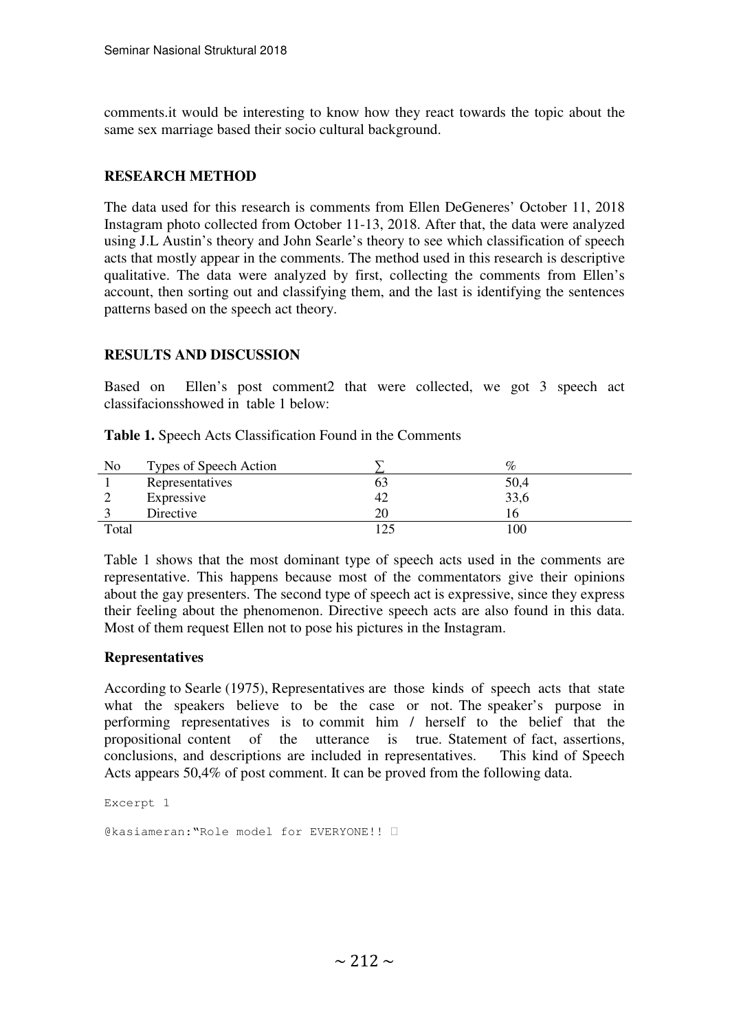comments.it would be interesting to know how they react towards the topic about the same sex marriage based their socio cultural background.

# **RESEARCH METHOD**

The data used for this research is comments from Ellen DeGeneres' October 11, 2018 Instagram photo collected from October 11-13, 2018. After that, the data were analyzed using J.L Austin's theory and John Searle's theory to see which classification of speech acts that mostly appear in the comments. The method used in this research is descriptive qualitative. The data were analyzed by first, collecting the comments from Ellen's account, then sorting out and classifying them, and the last is identifying the sentences patterns based on the speech act theory.

### **RESULTS AND DISCUSSION**

Based on Ellen's post comment2 that were collected, we got 3 speech act classifacionsshowed in table 1 below:

| No    | Types of Speech Action |     | $\%$        |
|-------|------------------------|-----|-------------|
|       | Representatives        |     | 50,4        |
|       | Expressive             | 42  | 33,6        |
|       | Directive              | 20  | რ           |
| Total |                        | 125 | $_{\rm 00}$ |

**Table 1.** Speech Acts Classification Found in the Comments

Table 1 shows that the most dominant type of speech acts used in the comments are representative. This happens because most of the commentators give their opinions about the gay presenters. The second type of speech act is expressive, since they express their feeling about the phenomenon. Directive speech acts are also found in this data. Most of them request Ellen not to pose his pictures in the Instagram.

### **Representatives**

According to Searle (1975), Representatives are those kinds of speech acts that state what the speakers believe to be the case or not. The speaker's purpose in performing representatives is to commit him / herself to the belief that the propositional content of the utterance is true. Statement of fact, assertions, conclusions, and descriptions are included in representatives. This kind of Speech Acts appears 50,4% of post comment. It can be proved from the following data.

Excerpt 1

@kasiameran:"Role model for EVERYONE!!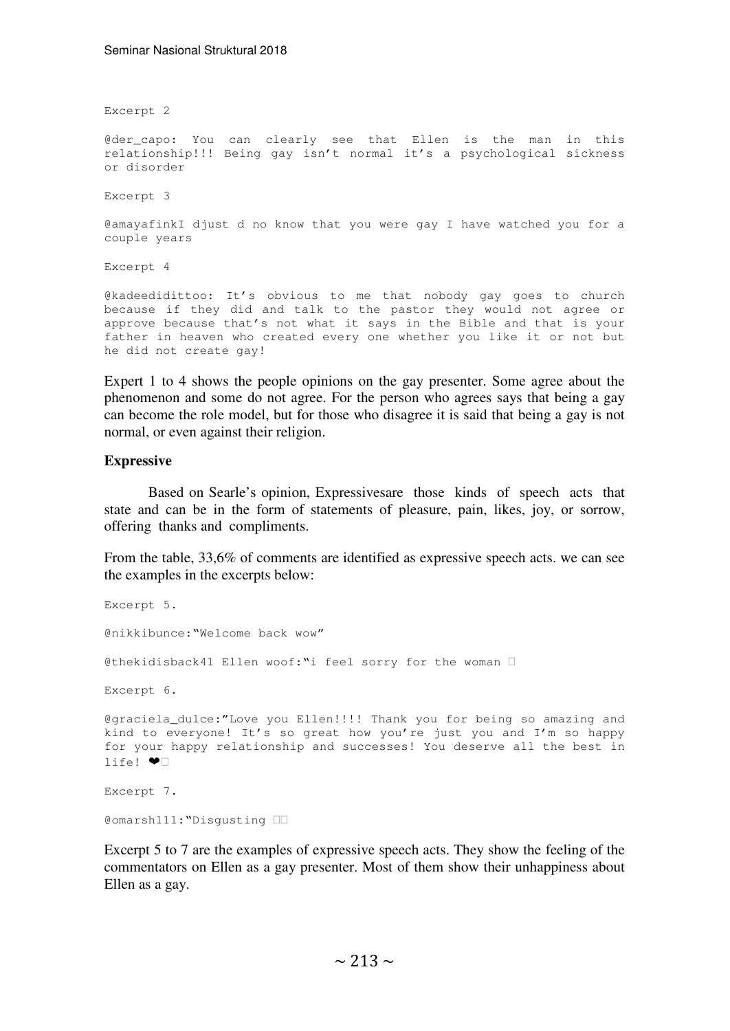Excerpt 2

@der\_capo: You can clearly see that Ellen is the man in this relationship!!! Being gay isn't normal it's a psychological sickness or disorder

Excerpt 3

@amayafinkI djust d no know that you were gay I have watched you for a couple years

Excerpt 4

@kadeedidittoo: It's obvious to me that nobody gay goes to church because if they did and talk to the pastor they would not agree or approve because that's not what it says in the Bible and that is your father in heaven who created every one whether you like it or not but he did not create gay!

Expert 1 to 4 shows the people opinions on the gay presenter. Some agree about the phenomenon and some do not agree. For the person who agrees says that being a gay can become the role model, but for those who disagree it is said that being a gay is not normal, or even against their religion.

#### **Expressive**

Based on Searle's opinion, Expressivesare those kinds of speech acts that state and can be in the form of statements of pleasure, pain, likes, joy, or sorrow, offering thanks and compliments.

From the table, 33,6% of comments are identified as expressive speech acts. we can see the examples in the excerpts below:

```
Excerpt 5. 
@nikkibunce:"Welcome back wow" 
@thekidisback41 Ellen woof:"i feel sorry for the woman 
Excerpt 6. 
@graciela dulce:"Love you Ellen!!!! Thank you for being so amazing and
kind to everyone! It's so great how you're just you and I'm so happy 
for your happy relationship and successes! You deserve all the best in 
life! \bullet
```
Excerpt 7.

@omarsh111:"Disgusting

Excerpt 5 to 7 are the examples of expressive speech acts. They show the feeling of the commentators on Ellen as a gay presenter. Most of them show their unhappiness about Ellen as a gay.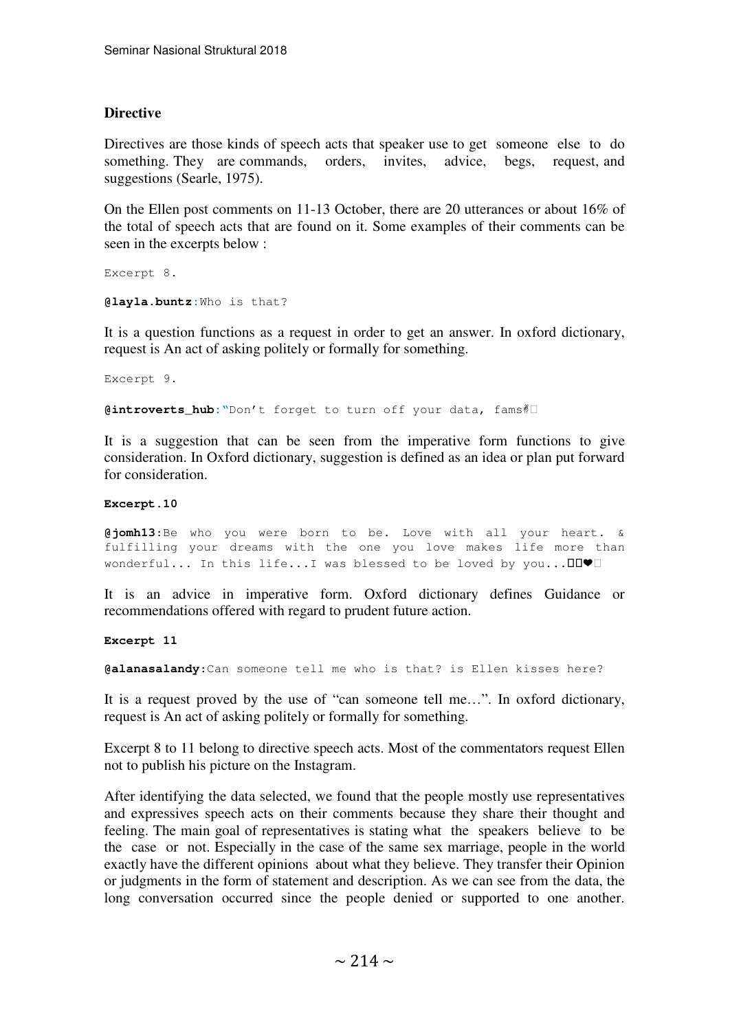### **Directive**

Directives are those kinds of speech acts that speaker use to get someone else to do something. They are commands, orders, invites, advice, begs, request, and suggestions (Searle, 1975).

On the Ellen post comments on 11-13 October, there are 20 utterances or about 16% of the total of speech acts that are found on it. Some examples of their comments can be seen in the excerpts below :

Excerpt 8.

**@layla.buntz:**Who is that?

It is a question functions as a request in order to get an answer. In oxford dictionary, request is An act of asking politely or formally for something.

Excerpt 9.

@introverts\_hub:"Don't forget to turn off your data, fams<sup>#</sup>

It is a suggestion that can be seen from the imperative form functions to give consideration. In Oxford dictionary, suggestion is defined as an idea or plan put forward for consideration.

#### **Excerpt.10**

**@jomh13**:Be who you were born to be. Love with all your heart. & fulfilling your dreams with the one you love makes life more than wonderful... In this life...I was blessed to be loved by you...

It is an advice in imperative form. Oxford dictionary defines Guidance or recommendations offered with regard to prudent future action.

**Excerpt 11** 

**@alanasalandy**:Can someone tell me who is that? is Ellen kisses here?

It is a request proved by the use of "can someone tell me…". In oxford dictionary, request is An act of asking politely or formally for something.

Excerpt 8 to 11 belong to directive speech acts. Most of the commentators request Ellen not to publish his picture on the Instagram.

After identifying the data selected, we found that the people mostly use representatives and expressives speech acts on their comments because they share their thought and feeling. The main goal of representatives is stating what the speakers believe to be the case or not. Especially in the case of the same sex marriage, people in the world exactly have the different opinions about what they believe. They transfer their Opinion or judgments in the form of statement and description. As we can see from the data, the long conversation occurred since the people denied or supported to one another.